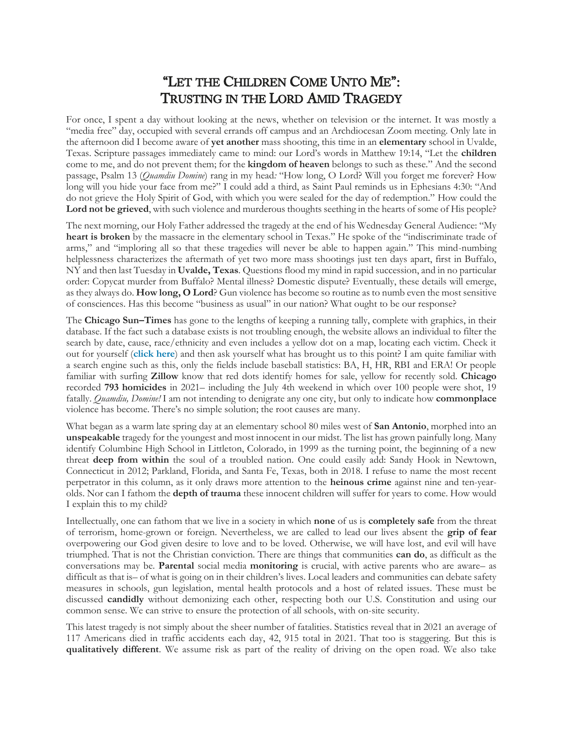## "LET THE CHILDREN COME UNTO ME": TRUSTING IN THE LORD AMID TRAGEDY

For once, I spent a day without looking at the news, whether on television or the internet. It was mostly a "media free" day, occupied with several errands off campus and an Archdiocesan Zoom meeting. Only late in the afternoon did I become aware of **yet another** mass shooting, this time in an **elementary** school in Uvalde, Texas. Scripture passages immediately came to mind: our Lord's words in Matthew 19:14, "Let the **children** come to me, and do not prevent them; for the **kingdom of heaven** belongs to such as these." And the second passage, Psalm 13 (*Quamdiu Domine*) rang in my head*:* "How long, O Lord? Will you forget me forever? How long will you hide your face from me?" I could add a third, as Saint Paul reminds us in Ephesians 4:30: "And do not grieve the Holy Spirit of God, with which you were sealed for the day of redemption." How could the **Lord not be grieved**, with such violence and murderous thoughts seething in the hearts of some of His people?

The next morning, our Holy Father addressed the tragedy at the end of his Wednesday General Audience: "My **heart is broken** by the massacre in the elementary school in Texas." He spoke of the "indiscriminate trade of arms," and "imploring all so that these tragedies will never be able to happen again." This mind-numbing helplessness characterizes the aftermath of yet two more mass shootings just ten days apart, first in Buffalo, NY and then last Tuesday in **Uvalde, Texas**. Questions flood my mind in rapid succession, and in no particular order: Copycat murder from Buffalo? Mental illness? Domestic dispute? Eventually, these details will emerge, as they always do. **How long, O Lord**? Gun violence has become so routine as to numb even the most sensitive of consciences. Has this become "business as usual" in our nation? What ought to be our response?

The **Chicago Sun–Times** has gone to the lengths of keeping a running tally, complete with graphics, in their database. If the fact such a database exists is not troubling enough, the website allows an individual to filter the search by date, cause, race/ethnicity and even includes a yellow dot on a map, locating each victim. Check it out for yourself (**[click here](https://graphics.suntimes.com/homicides/)**) and then ask yourself what has brought us to this point? I am quite familiar with a search engine such as this, only the fields include baseball statistics: BA, H, HR, RBI and ERA! Or people familiar with surfing **Zillow** know that red dots identify homes for sale, yellow for recently sold. **Chicago** recorded **793 homicides** in 2021– including the July 4th weekend in which over 100 people were shot, 19 fatally. *Quamdiu, Domine!* I am not intending to denigrate any one city, but only to indicate how **commonplace** violence has become. There's no simple solution; the root causes are many.

What began as a warm late spring day at an elementary school 80 miles west of **San Antonio**, morphed into an **unspeakable** tragedy for the youngest and most innocent in our midst. The list has grown painfully long. Many identify Columbine High School in Littleton, Colorado, in 1999 as the turning point, the beginning of a new threat **deep from within** the soul of a troubled nation. One could easily add: Sandy Hook in Newtown, Connecticut in 2012; Parkland, Florida, and Santa Fe, Texas, both in 2018. I refuse to name the most recent perpetrator in this column, as it only draws more attention to the **heinous crime** against nine and ten-yearolds. Nor can I fathom the **depth of trauma** these innocent children will suffer for years to come. How would I explain this to my child?

Intellectually, one can fathom that we live in a society in which **none** of us is **completely safe** from the threat of terrorism, home-grown or foreign. Nevertheless, we are called to lead our lives absent the **grip of fear** overpowering our God given desire to love and to be loved. Otherwise, we will have lost, and evil will have triumphed. That is not the Christian conviction. There are things that communities **can do**, as difficult as the conversations may be. **Parental** social media **monitoring** is crucial, with active parents who are aware– as difficult as that is– of what is going on in their children's lives. Local leaders and communities can debate safety measures in schools, gun legislation, mental health protocols and a host of related issues. These must be discussed **candidly** without demonizing each other, respecting both our U.S. Constitution and using our common sense. We can strive to ensure the protection of all schools, with on-site security.

This latest tragedy is not simply about the sheer number of fatalities. Statistics reveal that in 2021 an average of 117 Americans died in traffic accidents each day, 42, 915 total in 2021. That too is staggering. But this is **qualitatively different**. We assume risk as part of the reality of driving on the open road. We also take